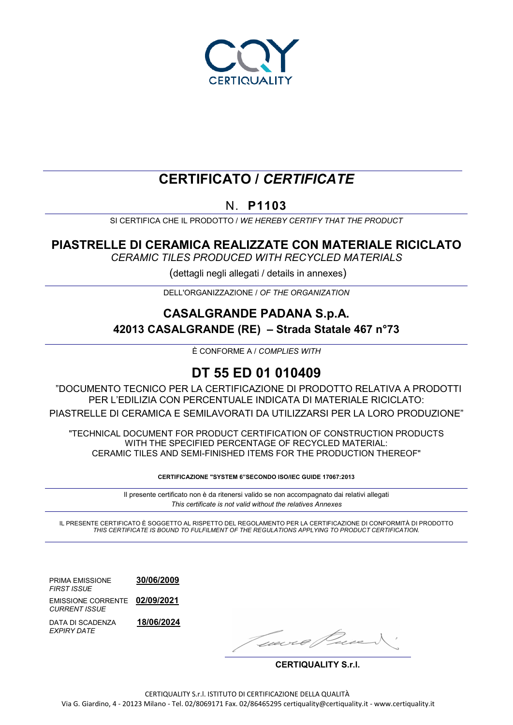

# **CERTIFICATO /** *CERTIFICATE*

N. **P1103**

SI CERTIFICA CHE IL PRODOTTO / *WE HEREBY CERTIFY THAT THE PRODUCT*

## **PIASTRELLE DI CERAMICA REALIZZATE CON MATERIALE RICICLATO**

*CERAMIC TILES PRODUCED WITH RECYCLED MATERIALS*

(dettagli negli allegati / details in annexes)

DELL'ORGANIZZAZIONE / *OF THE ORGANIZATION*

## **CASALGRANDE PADANA S.p.A. 42013 CASALGRANDE (RE) – Strada Statale 467 n°73**

È CONFORME A / *COMPLIES WITH*

## **DT 55 ED 01 010409**

"DOCUMENTO TECNICO PER LA CERTIFICAZIONE DI PRODOTTO RELATIVA A PRODOTTI PER L'EDILIZIA CON PERCENTUALE INDICATA DI MATERIALE RICICLATO: PIASTRELLE DI CERAMICA E SEMILAVORATI DA UTILIZZARSI PER LA LORO PRODUZIONE"

"TECHNICAL DOCUMENT FOR PRODUCT CERTIFICATION OF CONSTRUCTION PRODUCTS WITH THE SPECIFIED PERCENTAGE OF RECYCLED MATERIAL: CERAMIC TILES AND SEMI-FINISHED ITEMS FOR THE PRODUCTION THEREOF"

**CERTIFICAZIONE "SYSTEM 6"SECONDO ISO/IEC GUIDE 17067:2013**

Il presente certificato non è da ritenersi valido se non accompagnato dai relativi allegati *This certificate is not valid without the relatives Annexes*

IL PRESENTE CERTIFICATO È SOGGETTO AL RISPETTO DEL REGOLAMENTO PER LA CERTIFICAZIONE DI CONFORMITÀ DI PRODOTTO *THIS CERTIFICATE IS BOUND TO FULFILMENT OF THE REGULATIONS APPLYING TO PRODUCT CERTIFICATION.*

PRIMA EMISSIONE **30/06/2009** *FIRST ISSUE* EMISSIONE CORRENTE **02/09/2021** 

*EXPIRY DATE*

*CURRENT ISSUE* DATA DI SCADENZA **18/06/2024**

Ivere 0/1

**CERTIQUALITY S.r.l.**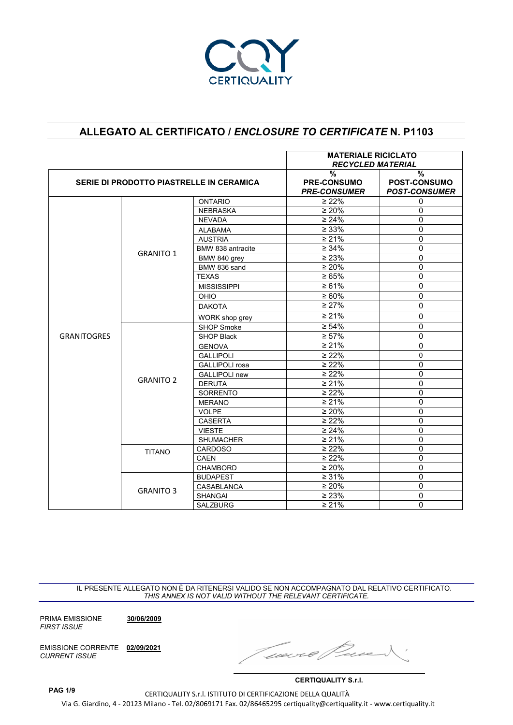

|                    |                                          | <b>MATERIALE RICICLATO</b><br><b>RECYCLED MATERIAL</b> |                                                            |                                                     |
|--------------------|------------------------------------------|--------------------------------------------------------|------------------------------------------------------------|-----------------------------------------------------|
|                    | SERIE DI PRODOTTO PIASTRELLE IN CERAMICA |                                                        | $\frac{0}{0}$<br><b>PRE-CONSUMO</b><br><b>PRE-CONSUMER</b> | $\%$<br><b>POST-CONSUMO</b><br><b>POST-CONSUMER</b> |
|                    |                                          | <b>ONTARIO</b>                                         | $\geq 22\%$                                                | $\Omega$                                            |
|                    |                                          | <b>NEBRASKA</b>                                        | $\geq 20\%$                                                | $\mathbf 0$                                         |
|                    |                                          | <b>NEVADA</b>                                          | $\geq 24\%$                                                | $\Omega$                                            |
|                    |                                          | $\geq 33\%$<br><b>ALABAMA</b>                          | $\mathbf 0$                                                |                                                     |
|                    |                                          | <b>AUSTRIA</b>                                         | $\geq 21\%$                                                | $\Omega$                                            |
|                    |                                          | BMW 838 antracite                                      | $\geq 34\%$                                                | $\Omega$                                            |
|                    | <b>GRANITO 1</b>                         | BMW 840 grey                                           | $\geq 23\%$                                                | $\Omega$                                            |
|                    |                                          | BMW 836 sand                                           | $\geq 20\%$                                                | $\mathbf 0$                                         |
|                    |                                          | <b>TEXAS</b>                                           | $\ge 65\%$                                                 | $\mathbf 0$                                         |
|                    |                                          | <b>MISSISSIPPI</b>                                     | $\ge 61\%$                                                 | $\Omega$                                            |
|                    |                                          | OHIO                                                   | $\geq 60\%$                                                | $\Omega$                                            |
|                    |                                          | <b>DAKOTA</b>                                          | $\geq 27\%$                                                | $\mathbf 0$                                         |
|                    |                                          | WORK shop grey                                         | $\geq 21\%$                                                | 0                                                   |
|                    |                                          | <b>SHOP Smoke</b>                                      | $\geq 54\%$                                                | $\Omega$                                            |
| <b>GRANITOGRES</b> |                                          | <b>SHOP Black</b>                                      | $\geq 57\%$                                                | $\Omega$                                            |
|                    |                                          | <b>GENOVA</b>                                          | $\geq 21\%$<br>$\geq 22\%$                                 | $\Omega$                                            |
|                    |                                          | <b>GALLIPOLI</b>                                       |                                                            | $\Omega$                                            |
|                    |                                          | <b>GALLIPOLI</b> rosa                                  | $\geq 22\%$                                                | $\mathbf{0}$                                        |
|                    |                                          | <b>GALLIPOLI new</b>                                   | $\geq 22\%$                                                | $\overline{0}$                                      |
|                    | <b>GRANITO 2</b>                         | <b>DERUTA</b>                                          | $\geq 21\%$                                                | $\mathbf 0$                                         |
|                    |                                          | <b>SORRENTO</b>                                        | $\geq 22\%$                                                | $\mathbf 0$                                         |
|                    |                                          | <b>MERANO</b>                                          | $\geq 21\%$                                                | $\Omega$                                            |
|                    |                                          | <b>VOLPE</b>                                           | $\geq 20\%$                                                | $\Omega$                                            |
|                    |                                          | <b>CASERTA</b>                                         | $\geq 22\%$                                                | $\mathbf{0}$                                        |
|                    |                                          | <b>VIESTE</b>                                          | $\geq 24\%$                                                | $\mathbf 0$                                         |
|                    |                                          | <b>SHUMACHER</b>                                       | $\geq 21\%$                                                | $\mathbf 0$                                         |
|                    | <b>TITANO</b>                            | <b>CARDOSO</b>                                         | $\geq 22\%$                                                | 0                                                   |
|                    |                                          | <b>CAEN</b>                                            | $\geq 22\%$                                                | $\Omega$                                            |
|                    |                                          | <b>CHAMBORD</b>                                        | $\geq 20\%$                                                | 0                                                   |
|                    |                                          | <b>BUDAPEST</b>                                        | $\geq 31\%$                                                | $\mathbf{0}$                                        |
|                    | <b>GRANITO 3</b>                         | <b>CASABLANCA</b>                                      | $\geq 20\%$                                                | $\Omega$                                            |
|                    |                                          | <b>SHANGAI</b>                                         | $\geq 23\%$                                                | $\Omega$                                            |
|                    |                                          | <b>SALZBURG</b>                                        | $\geq 21\%$                                                | $\Omega$                                            |

IL PRESENTE ALLEGATO NON È DA RITENERSI VALIDO SE NON ACCOMPAGNATO DAL RELATIVO CERTIFICATO. *THIS ANNEX IS NOT VALID WITHOUT THE RELEVANT CERTIFICATE.*

PRIMA EMISSIONE **30/06/2009** *FIRST ISSUE*

EMISSIONE CORRENTE **02/09/2021** *CURRENT ISSUE*

Ivecr

**CERTIQUALITY S.r.l.**

**PAG 1/9** 

CERTIQUALITY S.r.l. ISTITUTO DI CERTIFICAZIONE DELLA QUALITÀ Via G. Giardino, 4 - 20123 Milano - Tel. 02/8069171 Fax. 02/86465295 certiquality@certiquality.it - www.certiquality.it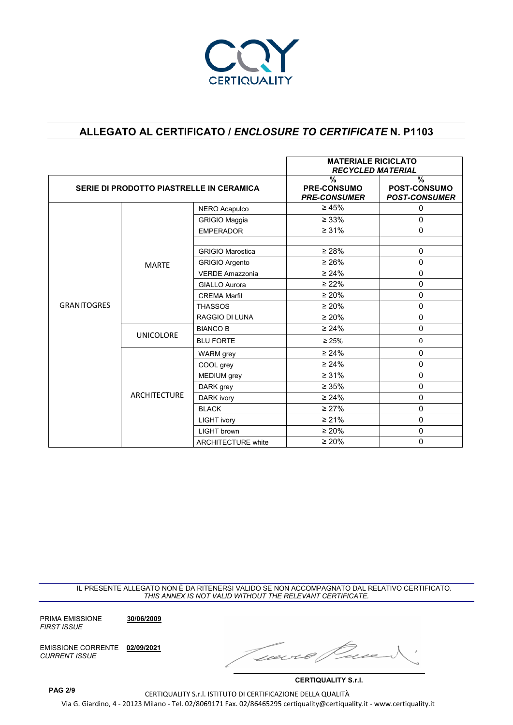

|                                          |                     | <b>MATERIALE RICICLATO</b><br><b>RECYCLED MATERIAL</b>                                                      |                                                                                                                      |                                                  |
|------------------------------------------|---------------------|-------------------------------------------------------------------------------------------------------------|----------------------------------------------------------------------------------------------------------------------|--------------------------------------------------|
| SERIE DI PRODOTTO PIASTRELLE IN CERAMICA |                     |                                                                                                             | $\frac{0}{0}$<br><b>PRE-CONSUMO</b><br><b>PRE-CONSUMER</b>                                                           | %<br><b>POST-CONSUMO</b><br><b>POST-CONSUMER</b> |
|                                          |                     | NERO Acapulco                                                                                               | $\geq 45\%$                                                                                                          | 0                                                |
|                                          |                     | <b>GRIGIO Maggia</b>                                                                                        | $\geq 33\%$                                                                                                          | 0                                                |
|                                          |                     | <b>EMPERADOR</b>                                                                                            | $\geq 31\%$                                                                                                          | $\Omega$                                         |
|                                          |                     |                                                                                                             |                                                                                                                      |                                                  |
|                                          |                     | <b>GRIGIO Marostica</b>                                                                                     |                                                                                                                      | 0                                                |
|                                          | <b>MARTE</b>        | <b>GRIGIO Argento</b>                                                                                       | $\geq 26\%$                                                                                                          | $\Omega$                                         |
|                                          |                     | <b>VERDE Amazzonia</b>                                                                                      | $\geq 24\%$                                                                                                          | 0                                                |
|                                          |                     | <b>GIALLO Aurora</b>                                                                                        | $\geq 22\%$                                                                                                          | $\Omega$                                         |
|                                          |                     | $\geq 20\%$<br><b>CREMA Marfil</b><br><b>THASSOS</b><br>$\geq 20\%$<br><b>RAGGIO DI LUNA</b><br>$\geq 20\%$ |                                                                                                                      | 0                                                |
| <b>GRANITOGRES</b>                       |                     |                                                                                                             |                                                                                                                      | 0                                                |
|                                          |                     |                                                                                                             | $\Omega$                                                                                                             |                                                  |
|                                          |                     | <b>BIANCO B</b>                                                                                             | $\geq 24\%$                                                                                                          | 0                                                |
|                                          | <b>UNICOLORE</b>    | <b>BLU FORTE</b>                                                                                            | $\geq 28\%$<br>$\geq 25\%$<br>$\geq 24\%$<br>$\geq 24\%$<br>$\geq 31\%$<br>$\geq 35\%$<br>$\geq 24\%$<br>$\geq 27\%$ | 0                                                |
|                                          |                     | <b>WARM</b> grey                                                                                            |                                                                                                                      | 0                                                |
|                                          |                     | COOL grey                                                                                                   |                                                                                                                      | 0                                                |
|                                          |                     | MEDIUM grey                                                                                                 |                                                                                                                      | 0                                                |
|                                          |                     | DARK grey                                                                                                   |                                                                                                                      | $\mathbf 0$                                      |
|                                          | <b>ARCHITECTURE</b> | DARK ivory                                                                                                  |                                                                                                                      | 0                                                |
|                                          |                     | <b>BLACK</b>                                                                                                |                                                                                                                      | 0                                                |
|                                          |                     | <b>LIGHT ivory</b>                                                                                          | $\geq 21\%$                                                                                                          | $\Omega$                                         |
|                                          |                     | LIGHT brown                                                                                                 | $\geq 20\%$                                                                                                          | 0                                                |
|                                          |                     | <b>ARCHITECTURE white</b>                                                                                   | $\geq 20\%$                                                                                                          | 0                                                |

IL PRESENTE ALLEGATO NON È DA RITENERSI VALIDO SE NON ACCOMPAGNATO DAL RELATIVO CERTIFICATO. *THIS ANNEX IS NOT VALID WITHOUT THE RELEVANT CERTIFICATE.*

PRIMA EMISSIONE **30/06/2009** *FIRST ISSUE*

EMISSIONE CORRENTE **02/09/2021** *CURRENT ISSUE*

Cucc

**CERTIQUALITY S.r.l.**

CERTIQUALITY S.r.l. ISTITUTO DI CERTIFICAZIONE DELLA QUALITÀ Via G. Giardino, 4 - 20123 Milano - Tel. 02/8069171 Fax. 02/86465295 certiquality@certiquality.it - www.certiquality.it

**PAG 2/9**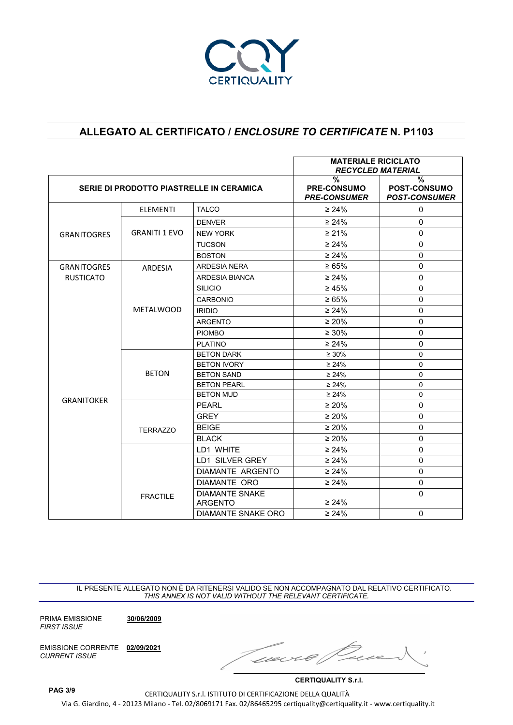

|                    |                                          |                                         | <b>MATERIALE RICICLATO</b><br><b>RECYCLED MATERIAL</b> |                                                  |
|--------------------|------------------------------------------|-----------------------------------------|--------------------------------------------------------|--------------------------------------------------|
|                    | SERIE DI PRODOTTO PIASTRELLE IN CERAMICA |                                         | %<br><b>PRE-CONSUMO</b><br><b>PRE-CONSUMER</b>         | %<br><b>POST-CONSUMO</b><br><b>POST-CONSUMER</b> |
|                    | <b>ELEMENTI</b>                          | <b>TALCO</b>                            | $\geq 24\%$                                            | 0                                                |
|                    |                                          | <b>DENVER</b>                           | $\geq 24\%$                                            | $\Omega$                                         |
| <b>GRANITOGRES</b> | <b>GRANITI 1 EVO</b>                     | <b>NEW YORK</b>                         | $\geq 21\%$                                            | $\Omega$                                         |
|                    |                                          | <b>TUCSON</b>                           | $\geq 24\%$                                            | $\mathbf 0$                                      |
|                    |                                          | <b>BOSTON</b>                           | $\geq 24\%$                                            | $\Omega$                                         |
| <b>GRANITOGRES</b> | ARDESIA                                  | <b>ARDESIA NERA</b>                     | $\ge 65\%$                                             | $\mathbf 0$                                      |
| <b>RUSTICATO</b>   |                                          | ARDESIA BIANCA                          | $\geq 24\%$                                            | $\mathbf 0$                                      |
|                    |                                          | <b>SILICIO</b>                          | $\geq 45\%$                                            | $\mathbf 0$                                      |
|                    |                                          | CARBONIO                                | $\ge 65\%$                                             | $\Omega$                                         |
|                    | <b>METALWOOD</b>                         | <b>IRIDIO</b>                           | $\geq 24\%$                                            | 0                                                |
|                    |                                          | <b>ARGENTO</b>                          | $\geq 20\%$                                            | $\mathbf 0$                                      |
|                    |                                          | <b>PIOMBO</b>                           | $\geq 30\%$                                            | $\mathbf 0$                                      |
|                    |                                          | <b>PLATINO</b>                          | $\geq 24\%$                                            | 0                                                |
|                    |                                          | <b>BETON DARK</b>                       | $\geq 30\%$                                            | $\Omega$                                         |
|                    |                                          | <b>BETON IVORY</b>                      | $\geq 24\%$                                            | $\Omega$                                         |
|                    | <b>BETON</b>                             | <b>BETON SAND</b>                       | $\geq 24\%$                                            | $\Omega$                                         |
|                    |                                          | <b>BETON PEARL</b>                      | $\geq 24\%$                                            | 0                                                |
| <b>GRANITOKER</b>  |                                          | <b>BETON MUD</b>                        | $\geq 24\%$                                            | $\Omega$                                         |
|                    |                                          | <b>PEARL</b>                            | $\geq 20\%$                                            | $\Omega$                                         |
|                    |                                          | <b>GREY</b>                             | $\geq 20\%$                                            | $\Omega$                                         |
|                    | <b>TERRAZZO</b>                          | <b>BEIGE</b>                            | $\geq 20\%$                                            | 0                                                |
|                    |                                          | <b>BLACK</b>                            | $\geq 20\%$                                            | $\Omega$                                         |
|                    |                                          | LD1 WHITE                               | $\geq 24\%$                                            | $\Omega$                                         |
|                    |                                          | LD1 SILVER GREY                         | $\geq 24\%$                                            | $\mathbf 0$                                      |
|                    |                                          | DIAMANTE ARGENTO                        | $\geq 24\%$                                            | $\Omega$                                         |
|                    |                                          | DIAMANTE ORO                            | $\geq 24\%$                                            | $\Omega$                                         |
|                    | <b>FRACTILE</b>                          | <b>DIAMANTE SNAKE</b><br><b>ARGENTO</b> | $\geq 24\%$                                            | $\mathbf 0$                                      |
|                    |                                          | DIAMANTE SNAKE ORO                      | $\geq 24\%$                                            | $\Omega$                                         |

IL PRESENTE ALLEGATO NON È DA RITENERSI VALIDO SE NON ACCOMPAGNATO DAL RELATIVO CERTIFICATO. *THIS ANNEX IS NOT VALID WITHOUT THE RELEVANT CERTIFICATE.*

PRIMA EMISSIONE **30/06/2009** *FIRST ISSUE*

EMISSIONE CORRENTE **02/09/2021** *CURRENT ISSUE*

Que

**CERTIQUALITY S.r.l.**

CERTIQUALITY S.r.l. ISTITUTO DI CERTIFICAZIONE DELLA QUALITÀ Via G. Giardino, 4 - 20123 Milano - Tel. 02/8069171 Fax. 02/86465295 certiquality@certiquality.it - www.certiquality.it **PAG 3/9**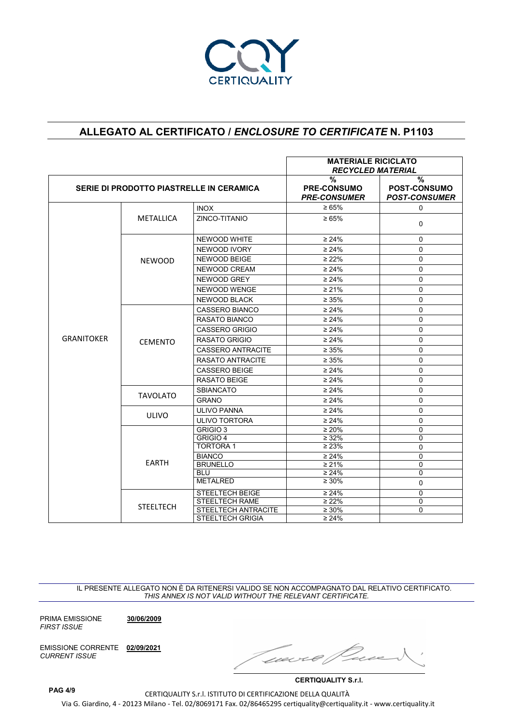

|                   |                                          |                                 | <b>MATERIALE RICICLATO</b><br><b>RECYCLED MATERIAL</b>                                                                                                                                                                                                                                                       |                                                              |
|-------------------|------------------------------------------|---------------------------------|--------------------------------------------------------------------------------------------------------------------------------------------------------------------------------------------------------------------------------------------------------------------------------------------------------------|--------------------------------------------------------------|
|                   | SERIE DI PRODOTTO PIASTRELLE IN CERAMICA |                                 | $\frac{9}{6}$<br><b>PRE-CONSUMO</b><br><b>PRE-CONSUMER</b>                                                                                                                                                                                                                                                   | $\frac{9}{6}$<br><b>POST-CONSUMO</b><br><b>POST-CONSUMER</b> |
|                   |                                          | <b>INOX</b>                     | $\ge 65\%$                                                                                                                                                                                                                                                                                                   | $\Omega$                                                     |
|                   | METALLICA                                | ZINCO-TITANIO                   | $\geq 65\%$                                                                                                                                                                                                                                                                                                  | 0                                                            |
|                   |                                          | NEWOOD WHITE                    | $\geq 24\%$                                                                                                                                                                                                                                                                                                  | $\Omega$                                                     |
|                   |                                          | NEWOOD IVORY                    | $\geq 24\%$                                                                                                                                                                                                                                                                                                  | $\mathbf 0$                                                  |
|                   | <b>NEWOOD</b>                            | NEWOOD BEIGE                    | $\geq 22\%$                                                                                                                                                                                                                                                                                                  | $\mathbf 0$                                                  |
|                   |                                          | NEWOOD CREAM                    | $\geq 24\%$                                                                                                                                                                                                                                                                                                  | $\Omega$                                                     |
|                   |                                          | NEWOOD GREY                     | $\geq 24\%$                                                                                                                                                                                                                                                                                                  | $\mathbf 0$                                                  |
|                   |                                          | NEWOOD WENGE                    | $\geq 21\%$                                                                                                                                                                                                                                                                                                  | $\mathbf 0$                                                  |
|                   |                                          | NEWOOD BLACK                    | $\geq 35\%$                                                                                                                                                                                                                                                                                                  | $\Omega$                                                     |
|                   |                                          | <b>CASSERO BIANCO</b>           | $\geq 24\%$                                                                                                                                                                                                                                                                                                  | $\Omega$                                                     |
|                   |                                          | <b>RASATO BIANCO</b>            | $\geq 24\%$                                                                                                                                                                                                                                                                                                  | $\Omega$                                                     |
|                   |                                          | <b>CASSERO GRIGIO</b>           | $\geq 24\%$                                                                                                                                                                                                                                                                                                  | $\Omega$                                                     |
| <b>GRANITOKER</b> | <b>CEMENTO</b>                           | <b>RASATO GRIGIO</b>            | $\geq 24\%$                                                                                                                                                                                                                                                                                                  | $\Omega$                                                     |
|                   |                                          | <b>CASSERO ANTRACITE</b>        | $\geq 35\%$                                                                                                                                                                                                                                                                                                  | $\Omega$                                                     |
|                   |                                          | RASATO ANTRACITE<br>$\geq 35\%$ | $\Omega$                                                                                                                                                                                                                                                                                                     |                                                              |
|                   |                                          | <b>CASSERO BEIGE</b>            | $\geq 24\%$                                                                                                                                                                                                                                                                                                  | $\Omega$                                                     |
|                   |                                          | RASATO BEIGE<br>$\geq 24\%$     | $\Omega$                                                                                                                                                                                                                                                                                                     |                                                              |
|                   |                                          | <b>SBIANCATO</b>                | $\geq 24\%$                                                                                                                                                                                                                                                                                                  | 0                                                            |
|                   | <b>TAVOLATO</b>                          | <b>GRANO</b>                    | $\Omega$<br>$\geq 24\%$                                                                                                                                                                                                                                                                                      |                                                              |
|                   |                                          | <b>ULIVO PANNA</b>              | $\geq 24\%$                                                                                                                                                                                                                                                                                                  | $\Omega$                                                     |
|                   | <b>ULIVO</b>                             | <b>ULIVO TORTORA</b>            | $\geq 24\%$<br>$\mathbf 0$<br>$\geq 20\%$<br>$\Omega$<br>$\geq 32\%$<br>0<br>$\geq 23\%$<br>$\mathbf{0}$<br>$\geq 24\%$<br>0<br>$\geq 21\%$<br>0<br>$\Omega$<br>$\geq 24\%$<br>$\geq 30\%$<br>0<br>$\geq 24\%$<br>$\Omega$<br>$\geq 22\%$<br>$\mathbf 0$<br>$\overline{\geq}$ 30%<br>$\Omega$<br>$\geq 24\%$ |                                                              |
|                   |                                          | GRIGIO <sub>3</sub>             |                                                                                                                                                                                                                                                                                                              |                                                              |
|                   |                                          | <b>GRIGIO 4</b>                 |                                                                                                                                                                                                                                                                                                              |                                                              |
|                   |                                          | <b>TORTORA1</b>                 |                                                                                                                                                                                                                                                                                                              |                                                              |
|                   | <b>EARTH</b>                             | <b>BIANCO</b>                   |                                                                                                                                                                                                                                                                                                              |                                                              |
|                   |                                          | <b>BRUNELLO</b><br><b>BLU</b>   |                                                                                                                                                                                                                                                                                                              |                                                              |
|                   |                                          | <b>METALRED</b>                 |                                                                                                                                                                                                                                                                                                              |                                                              |
|                   |                                          | STEELTECH BEIGE                 |                                                                                                                                                                                                                                                                                                              |                                                              |
|                   |                                          | <b>STEELTECH RAME</b>           |                                                                                                                                                                                                                                                                                                              |                                                              |
|                   | <b>STEELTECH</b>                         | STEELTECH ANTRACITE             |                                                                                                                                                                                                                                                                                                              |                                                              |
|                   |                                          | <b>STEELTECH GRIGIA</b>         |                                                                                                                                                                                                                                                                                                              |                                                              |

IL PRESENTE ALLEGATO NON È DA RITENERSI VALIDO SE NON ACCOMPAGNATO DAL RELATIVO CERTIFICATO. *THIS ANNEX IS NOT VALID WITHOUT THE RELEVANT CERTIFICATE.*

PRIMA EMISSIONE **30/06/2009** *FIRST ISSUE*

EMISSIONE CORRENTE **02/09/2021** *CURRENT ISSUE*

Twee

**CERTIQUALITY S.r.l.**

CERTIQUALITY S.r.l. ISTITUTO DI CERTIFICAZIONE DELLA QUALITÀ Via G. Giardino, 4 - 20123 Milano - Tel. 02/8069171 Fax. 02/86465295 certiquality@certiquality.it - www.certiquality.it

**PAG 4/9**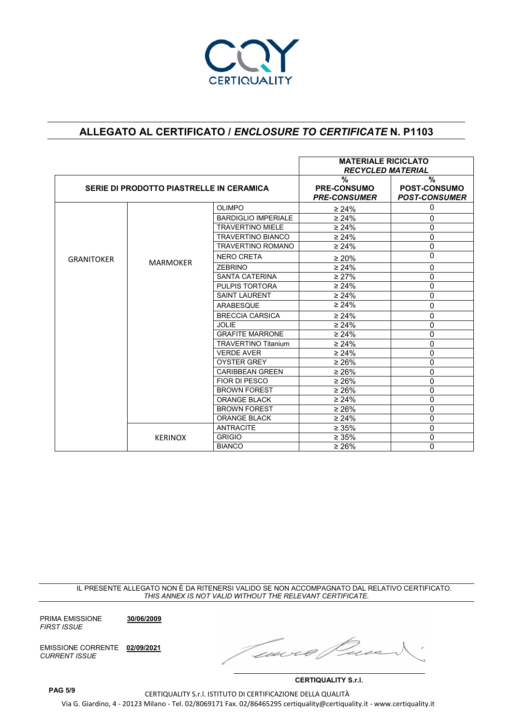

|                   |                                          |                            | <b>MATERIALE RICICLATO</b><br><b>RECYCLED MATERIAL</b>     |                                                  |
|-------------------|------------------------------------------|----------------------------|------------------------------------------------------------|--------------------------------------------------|
|                   | SERIE DI PRODOTTO PIASTRELLE IN CERAMICA |                            | $\frac{0}{0}$<br><b>PRE-CONSUMO</b><br><b>PRE-CONSUMER</b> | %<br><b>POST-CONSUMO</b><br><b>POST-CONSUMER</b> |
|                   |                                          | <b>OLIMPO</b>              | $\geq 24\%$                                                | 0                                                |
|                   |                                          | <b>BARDIGLIO IMPERIALE</b> | $\geq 24\%$                                                | 0                                                |
|                   |                                          | <b>TRAVERTINO MIELE</b>    | $\geq 24\%$                                                | 0                                                |
|                   |                                          | <b>TRAVERTINO BIANCO</b>   | $\geq 24\%$                                                | 0                                                |
|                   |                                          | <b>TRAVERTINO ROMANO</b>   | $\geq 24\%$                                                | 0                                                |
| <b>GRANITOKER</b> |                                          | <b>NERO CRETA</b>          | $\geq 20\%$                                                | 0                                                |
|                   | <b>MARMOKER</b>                          | <b>ZEBRINO</b>             | $\geq 24\%$                                                | 0                                                |
|                   |                                          | <b>SANTA CATERINA</b>      | $\geq 27\%$                                                | 0                                                |
|                   |                                          | PULPIS TORTORA             | $\geq 24\%$                                                | 0                                                |
|                   |                                          | <b>SAINT LAURENT</b>       | $\geq 24\%$                                                | 0                                                |
|                   |                                          | ARABESQUE                  | $\geq 24\%$                                                | 0                                                |
|                   |                                          | <b>BRECCIA CARSICA</b>     | $\geq 24\%$                                                | 0                                                |
|                   |                                          | <b>JOLIE</b>               | $\geq 24\%$                                                | 0                                                |
|                   |                                          | <b>GRAFITE MARRONE</b>     | $\geq 24\%$                                                | 0                                                |
|                   |                                          | <b>TRAVERTINO Titanium</b> | $\geq 24\%$                                                | 0                                                |
|                   |                                          | <b>VERDE AVER</b>          | $\geq 24\%$                                                | 0                                                |
|                   |                                          | <b>OYSTER GREY</b>         | $\geq 26\%$                                                | 0                                                |
|                   |                                          | <b>CARIBBEAN GREEN</b>     | $\geq 26\%$                                                | 0                                                |
|                   |                                          | FIOR DI PESCO              | $\geq 26\%$                                                | 0                                                |
|                   |                                          | <b>BROWN FOREST</b>        | $\geq 26\%$                                                | 0                                                |
|                   |                                          | <b>ORANGE BLACK</b>        | $\geq 24\%$                                                | 0                                                |
|                   |                                          | <b>BROWN FOREST</b>        | $\geq 26\%$                                                | 0                                                |
|                   |                                          | <b>ORANGE BLACK</b>        | $\geq 24\%$                                                | 0                                                |
|                   |                                          | <b>ANTRACITE</b>           | $\geq 35\%$                                                | 0                                                |
|                   | <b>KERINOX</b>                           | <b>GRIGIO</b>              | $\geq 35\%$                                                | $\Omega$                                         |
|                   |                                          | <b>BIANCO</b>              | $\geq 26\%$                                                | 0                                                |

IL PRESENTE ALLEGATO NON È DA RITENERSI VALIDO SE NON ACCOMPAGNATO DAL RELATIVO CERTIFICATO. *THIS ANNEX IS NOT VALID WITHOUT THE RELEVANT CERTIFICATE.*

PRIMA EMISSIONE **30/06/2009** *FIRST ISSUE*

EMISSIONE CORRENTE **02/09/2021** *CURRENT ISSUE*

Geech

**CERTIQUALITY S.r.l.**

CERTIQUALITY S.r.l. ISTITUTO DI CERTIFICAZIONE DELLA QUALITÀ Via G. Giardino, 4 - 20123 Milano - Tel. 02/8069171 Fax. 02/86465295 certiquality@certiquality.it - www.certiquality.it **PAG 5/9**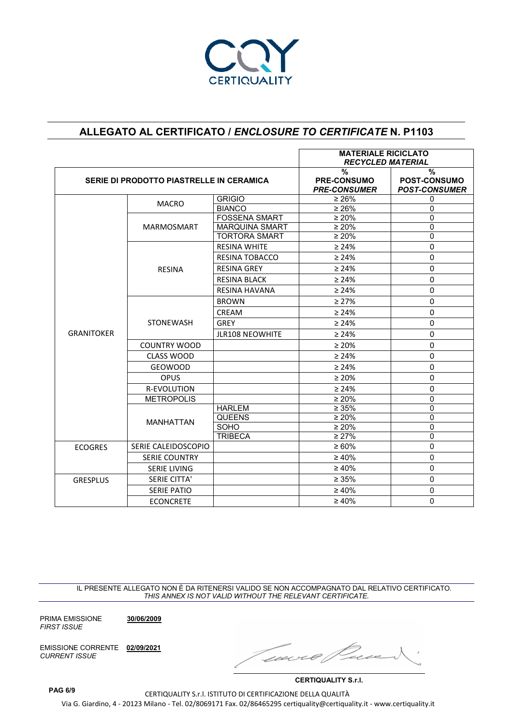

|                   |                                          |                        | <b>MATERIALE RICICLATO</b><br><b>RECYCLED MATERIAL</b>     |                                           |
|-------------------|------------------------------------------|------------------------|------------------------------------------------------------|-------------------------------------------|
|                   | SERIE DI PRODOTTO PIASTRELLE IN CERAMICA |                        | $\frac{0}{0}$<br><b>PRE-CONSUMO</b><br><b>PRE-CONSUMER</b> | %<br>POST-CONSUMO<br><b>POST-CONSUMER</b> |
|                   | <b>MACRO</b>                             | <b>GRIGIO</b>          | $\geq 26\%$                                                | 0                                         |
|                   |                                          | <b>BIANCO</b>          | $\geq 26\%$                                                | 0                                         |
|                   |                                          | <b>FOSSENA SMART</b>   | $\geq 20\%$                                                | 0                                         |
|                   | <b>MARMOSMART</b>                        | <b>MARQUINA SMART</b>  | $\geq 20\%$                                                | 0                                         |
|                   |                                          | <b>TORTORA SMART</b>   | $\geq 20\%$                                                | 0                                         |
|                   |                                          | <b>RESINA WHITE</b>    | $\geq 24\%$                                                | 0                                         |
|                   |                                          | <b>RESINA TOBACCO</b>  | $\geq 24\%$                                                | 0                                         |
|                   | <b>RESINA</b>                            | <b>RESINA GREY</b>     | $\geq 24\%$                                                | 0                                         |
|                   |                                          | <b>RESINA BLACK</b>    | $\geq 24\%$                                                | $\Omega$                                  |
|                   |                                          | <b>RESINA HAVANA</b>   | $\geq 24\%$                                                | 0                                         |
|                   |                                          | <b>BROWN</b>           | $\geq 27\%$                                                | 0                                         |
|                   |                                          | CREAM                  | $\geq 24\%$                                                | 0                                         |
|                   | <b>STONEWASH</b>                         | <b>GREY</b>            | $\geq 24\%$                                                | $\Omega$                                  |
| <b>GRANITOKER</b> |                                          | <b>JLR108 NEOWHITE</b> | $\geq 24\%$                                                | 0                                         |
|                   | <b>COUNTRY WOOD</b>                      |                        | $\geq 20\%$                                                | 0                                         |
|                   | <b>CLASS WOOD</b>                        |                        | $\geq 24\%$                                                | $\Omega$                                  |
|                   | <b>GEOWOOD</b>                           |                        | $\geq 24\%$                                                | $\Omega$                                  |
|                   | <b>OPUS</b>                              |                        | $\geq 20\%$                                                | 0                                         |
|                   | R-EVOLUTION                              |                        | $\geq 24\%$                                                | 0                                         |
|                   | <b>METROPOLIS</b>                        |                        | $\geq 20\%$                                                | 0                                         |
|                   |                                          | <b>HARLEM</b>          | $\geq 35\%$                                                | 0                                         |
|                   | <b>MANHATTAN</b>                         | <b>QUEENS</b>          | $\geq 20\%$                                                | 0                                         |
|                   |                                          | SOHO                   | $\geq 20\%$                                                | $\overline{0}$                            |
|                   |                                          | <b>TRIBECA</b>         | $\geq 27\%$                                                | 0                                         |
| <b>ECOGRES</b>    | SERIE CALEIDOSCOPIO                      |                        | $\geq 60\%$                                                | 0                                         |
|                   | <b>SERIE COUNTRY</b>                     |                        | $\geq 40\%$                                                | 0                                         |
|                   | <b>SERIE LIVING</b>                      |                        | $\geq 40\%$                                                | $\Omega$                                  |
| <b>GRESPLUS</b>   | <b>SERIE CITTA'</b>                      |                        | $\geq 35\%$                                                | 0                                         |
|                   | <b>SERIE PATIO</b>                       |                        | $\geq 40\%$                                                | 0                                         |
|                   | <b>ECONCRETE</b>                         |                        | $\geq 40\%$                                                | $\Omega$                                  |

IL PRESENTE ALLEGATO NON È DA RITENERSI VALIDO SE NON ACCOMPAGNATO DAL RELATIVO CERTIFICATO. *THIS ANNEX IS NOT VALID WITHOUT THE RELEVANT CERTIFICATE.*

PRIMA EMISSIONE **30/06/2009** *FIRST ISSUE*

EMISSIONE CORRENTE **02/09/2021** *CURRENT ISSUE*

were

**CERTIQUALITY S.r.l.**

CERTIQUALITY S.r.l. ISTITUTO DI CERTIFICAZIONE DELLA QUALITÀ Via G. Giardino, 4 - 20123 Milano - Tel. 02/8069171 Fax. 02/86465295 certiquality@certiquality.it - www.certiquality.it

**PAG 6/9**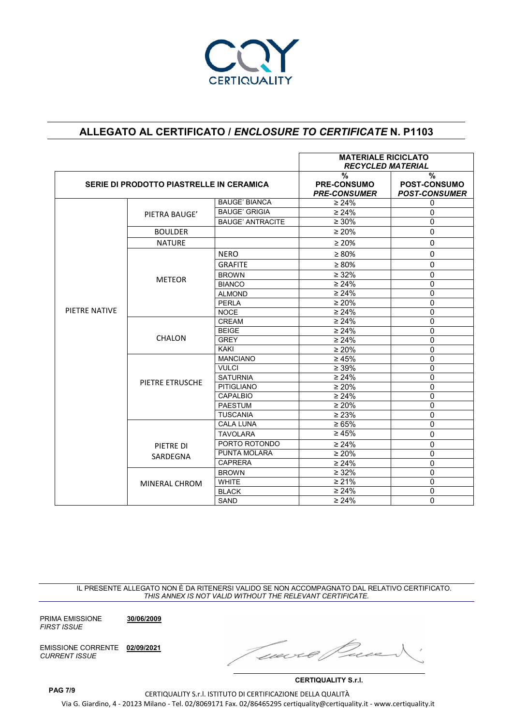

|               |                                          |                         | <b>MATERIALE RICICLATO</b><br><b>RECYCLED MATERIAL</b>     |                                                              |
|---------------|------------------------------------------|-------------------------|------------------------------------------------------------|--------------------------------------------------------------|
|               | SERIE DI PRODOTTO PIASTRELLE IN CERAMICA |                         | $\frac{0}{2}$<br><b>PRE-CONSUMO</b><br><b>PRE-CONSUMER</b> | $\frac{9}{6}$<br><b>POST-CONSUMO</b><br><b>POST-CONSUMER</b> |
|               |                                          | <b>BAUGE' BIANCA</b>    | $\geq 24\%$                                                | 0                                                            |
|               | PIETRA BAUGE'                            | <b>BAUGE' GRIGIA</b>    | $\geq 24\%$                                                | $\Omega$                                                     |
|               |                                          | <b>BAUGE' ANTRACITE</b> | $\geq 30\%$                                                | $\Omega$                                                     |
|               | <b>BOULDER</b>                           |                         | $\geq 20\%$                                                | $\mathbf{0}$                                                 |
|               | <b>NATURE</b>                            |                         | $\geq 20\%$                                                | $\Omega$                                                     |
|               |                                          | <b>NERO</b>             | $\geq 80\%$                                                | $\Omega$                                                     |
|               |                                          | <b>GRAFITE</b>          | $\geq 80\%$                                                | $\Omega$                                                     |
|               |                                          | <b>BROWN</b>            | $\geq 32\%$                                                | $\mathbf{0}$                                                 |
|               | <b>METEOR</b>                            | <b>BIANCO</b>           | $\geq 24\%$                                                | $\mathbf{0}$                                                 |
|               |                                          | <b>ALMOND</b>           | $\geq 24\%$                                                | $\Omega$                                                     |
|               |                                          | <b>PERLA</b>            | $\geq 20\%$                                                | $\mathbf 0$                                                  |
| PIETRE NATIVE |                                          | <b>NOCE</b>             | $\geq 24\%$                                                | $\mathbf{0}$                                                 |
|               | <b>CHALON</b>                            | <b>CREAM</b>            | $\geq 24\%$                                                | $\Omega$                                                     |
|               |                                          | <b>BEIGE</b>            | $\geq 24\%$                                                | $\mathbf{0}$                                                 |
|               |                                          | <b>GREY</b>             | $\geq 24\%$                                                | $\Omega$                                                     |
|               |                                          | <b>KAKI</b>             | $\geq 20\%$                                                | $\Omega$                                                     |
|               | PIETRE ETRUSCHE                          | <b>MANCIANO</b>         | $\geq 45\%$                                                | $\Omega$                                                     |
|               |                                          | <b>VULCI</b>            | $\geq 39\%$                                                | $\mathbf{0}$                                                 |
|               |                                          | <b>SATURNIA</b>         | $\geq 24\%$                                                | $\mathbf{0}$                                                 |
|               |                                          | <b>PITIGLIANO</b>       | $\geq 20\%$                                                | $\Omega$                                                     |
|               |                                          | <b>CAPALBIO</b>         | $\geq 24\%$                                                | $\mathbf 0$                                                  |
|               |                                          | <b>PAESTUM</b>          | $\geq 20\%$                                                | $\mathbf{0}$                                                 |
|               |                                          | <b>TUSCANIA</b>         | $\geq 23\%$                                                | $\mathbf{0}$                                                 |
|               |                                          | <b>CALA LUNA</b>        | $\ge 65\%$                                                 | $\mathbf{0}$                                                 |
|               |                                          | TAVOLARA                | $\geq 45\%$                                                | $\mathbf{0}$                                                 |
|               | PIETRE DI                                | PORTO ROTONDO           | $\geq 24\%$                                                | $\mathbf 0$                                                  |
|               | SARDEGNA                                 | <b>PUNTA MOLARA</b>     | $\geq 20\%$                                                | $\Omega$                                                     |
|               |                                          | <b>CAPRERA</b>          | $\geq 24\%$                                                | $\mathbf 0$                                                  |
|               |                                          | <b>BROWN</b>            | $\geq 32\%$                                                | $\overline{0}$                                               |
|               | MINERAL CHROM                            | <b>WHITE</b>            | $\geq 21\%$                                                | $\overline{0}$                                               |
|               |                                          | <b>BLACK</b>            | $\geq 24\%$                                                | $\Omega$                                                     |
|               |                                          | <b>SAND</b>             | $\geq 24\%$                                                | $\Omega$                                                     |

IL PRESENTE ALLEGATO NON È DA RITENERSI VALIDO SE NON ACCOMPAGNATO DAL RELATIVO CERTIFICATO. *THIS ANNEX IS NOT VALID WITHOUT THE RELEVANT CERTIFICATE.*

PRIMA EMISSIONE **30/06/2009** *FIRST ISSUE*

EMISSIONE CORRENTE **02/09/2021** *CURRENT ISSUE*

Geecre

**CERTIQUALITY S.r.l.**

CERTIQUALITY S.r.l. ISTITUTO DI CERTIFICAZIONE DELLA QUALITÀ Via G. Giardino, 4 - 20123 Milano - Tel. 02/8069171 Fax. 02/86465295 certiquality@certiquality.it - www.certiquality.it **PAG 7/9**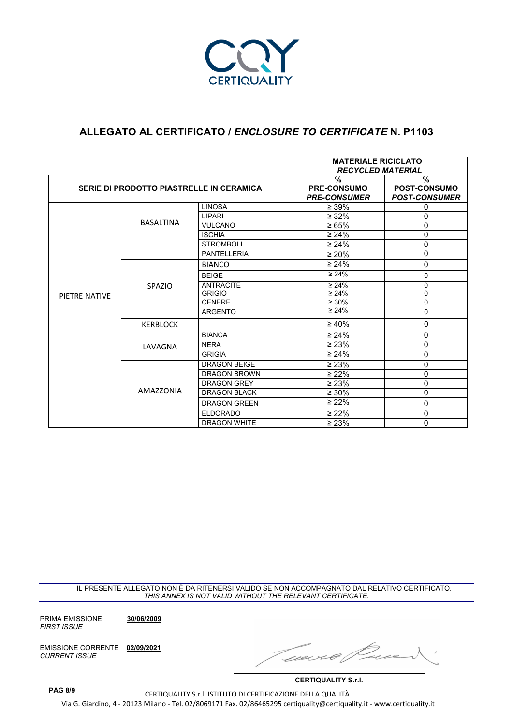

|                                          |                  | <b>MATERIALE RICICLATO</b>           |                          |                      |
|------------------------------------------|------------------|--------------------------------------|--------------------------|----------------------|
|                                          |                  |                                      | <b>RECYCLED MATERIAL</b> |                      |
|                                          |                  |                                      | $\frac{0}{0}$            | $\frac{0}{0}$        |
| SERIE DI PRODOTTO PIASTRELLE IN CERAMICA |                  | <b>PRE-CONSUMO</b>                   | <b>POST-CONSUMO</b>      |                      |
|                                          |                  |                                      | <b>PRE-CONSUMER</b>      | <b>POST-CONSUMER</b> |
|                                          |                  | <b>LINOSA</b>                        | $\geq 39\%$              | 0                    |
|                                          | <b>BASALTINA</b> | LIPARI                               | $\geq 32\%$              | 0                    |
|                                          |                  | <b>VULCANO</b>                       | $\ge 65\%$               | 0                    |
|                                          |                  | <b>ISCHIA</b>                        | $\geq 24\%$              | 0                    |
|                                          |                  | <b>STROMBOLI</b>                     | $\geq 24\%$              | 0                    |
|                                          |                  | <b>PANTELLERIA</b>                   | $\geq 20\%$              | 0                    |
|                                          |                  | <b>BIANCO</b>                        | $\geq 24\%$              | $\mathbf 0$          |
|                                          | <b>SPAZIO</b>    | <b>BEIGE</b>                         | $\geq 24\%$              | 0                    |
|                                          |                  | <b>ANTRACITE</b>                     | $\geq 24\%$              | 0                    |
| PIETRE NATIVE                            |                  | <b>GRIGIO</b>                        | $\geq 24\%$              | 0                    |
|                                          |                  | <b>CENERE</b>                        | $\geq 30\%$              | $\overline{0}$       |
|                                          |                  | <b>ARGENTO</b>                       | $\geq 24\%$              | $\Omega$             |
|                                          | <b>KERBLOCK</b>  |                                      | $\geq 40\%$              | $\Omega$             |
|                                          |                  | <b>BIANCA</b>                        | $\geq 24\%$              | $\mathbf 0$          |
|                                          | LAVAGNA          | <b>NERA</b>                          | $\geq 23\%$              | $\Omega$             |
|                                          |                  | <b>GRIGIA</b><br><b>DRAGON BEIGE</b> | $\geq 24\%$              | 0                    |
|                                          |                  |                                      | $\geq 23\%$              | $\mathbf 0$          |
|                                          |                  | <b>DRAGON BROWN</b>                  | $\geq 22\%$              | 0                    |
|                                          |                  | <b>DRAGON GREY</b>                   | $\geq 23\%$              | 0                    |
|                                          | AMAZZONIA        | <b>DRAGON BLACK</b>                  | $\geq 30\%$              | 0                    |
|                                          |                  | <b>DRAGON GREEN</b>                  | $\geq 22\%$              | $\mathbf 0$          |
|                                          |                  | <b>ELDORADO</b>                      | $\geq 22\%$              | 0                    |
|                                          |                  | <b>DRAGON WHITE</b>                  | $\geq 23\%$              | 0                    |

IL PRESENTE ALLEGATO NON È DA RITENERSI VALIDO SE NON ACCOMPAGNATO DAL RELATIVO CERTIFICATO. *THIS ANNEX IS NOT VALID WITHOUT THE RELEVANT CERTIFICATE.*

PRIMA EMISSIONE **30/06/2009** *FIRST ISSUE*

EMISSIONE CORRENTE **02/09/2021** *CURRENT ISSUE*

rnei n

**CERTIQUALITY S.r.l.**

CERTIQUALITY S.r.l. ISTITUTO DI CERTIFICAZIONE DELLA QUALITÀ Via G. Giardino, 4 - 20123 Milano - Tel. 02/8069171 Fax. 02/86465295 certiquality@certiquality.it - www.certiquality.it

**PAG 8/9**